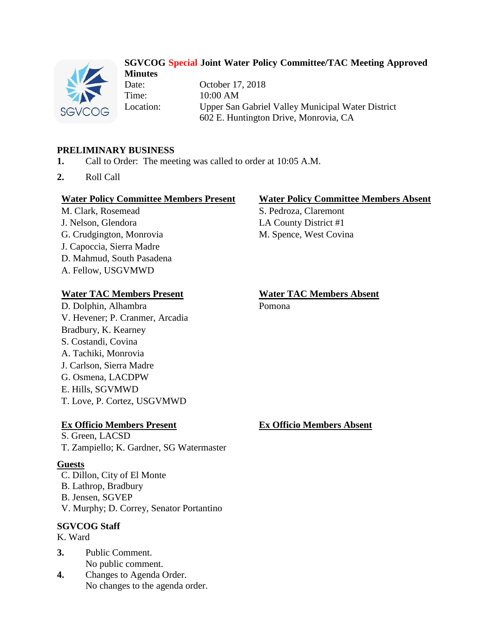

#### **SGVCOG Special Joint Water Policy Committee/TAC Meeting Approved Minutes**

Date: October 17, 2018 Time: 10:00 AM Location: Upper San Gabriel Valley Municipal Water District 602 E. Huntington Drive, Monrovia, CA

## **PRELIMINARY BUSINESS**

- **1.** Call to Order: The meeting was called to order at 10:05 A.M.
- **2.** Roll Call

#### **Water Policy Committee Members Present Water Policy Committee Members Absent**

M. Clark, Rosemead S. Pedroza, Claremont J. Nelson, Glendora LA County District #1 G. Crudgington, Monrovia M. Spence, West Covina J. Capoccia, Sierra Madre D. Mahmud, South Pasadena A. Fellow, USGVMWD

#### **Water TAC Members Present Water TAC Members Absent**

D. Dolphin, Alhambra Pomona V. Hevener; P. Cranmer, Arcadia Bradbury, K. Kearney S. Costandi, Covina A. Tachiki, Monrovia J. Carlson, Sierra Madre G. Osmena, LACDPW E. Hills, SGVMWD T. Love, P. Cortez, USGVMWD

#### **Ex Officio Members Present Ex Officio Members Absent**

S. Green, LACSD

T. Zampiello; K. Gardner, SG Watermaster

#### **Guests**

C. Dillon, City of El Monte B. Lathrop, Bradbury B. Jensen, SGVEP V. Murphy; D. Correy, Senator Portantino

#### **SGVCOG Staff**

K. Ward

- **3.** Public Comment. No public comment.
- **4.** Changes to Agenda Order. No changes to the agenda order.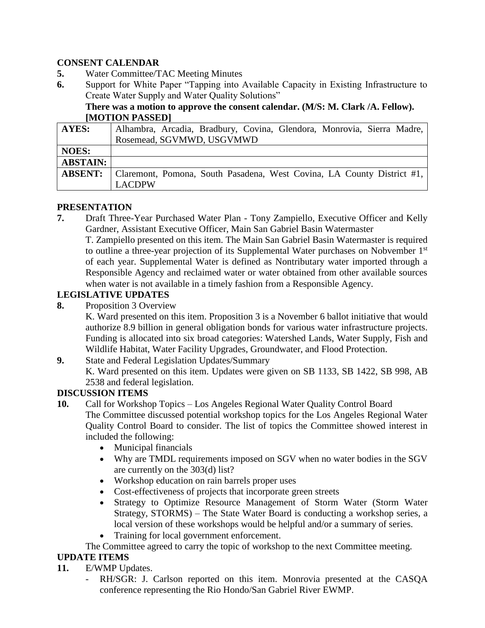## **CONSENT CALENDAR**

- **5.** Water Committee/TAC Meeting Minutes
- **6.** Support for White Paper "Tapping into Available Capacity in Existing Infrastructure to Create Water Supply and Water Quality Solutions"

## **There was a motion to approve the consent calendar. (M/S: M. Clark /A. Fellow). [MOTION PASSED]**

| <b>AYES:</b>    | Alhambra, Arcadia, Bradbury, Covina, Glendora, Monrovia, Sierra Madre, |
|-----------------|------------------------------------------------------------------------|
|                 | Rosemead, SGVMWD, USGVMWD                                              |
| <b>NOES:</b>    |                                                                        |
| <b>ABSTAIN:</b> |                                                                        |
| <b>ABSENT:</b>  | Claremont, Pomona, South Pasadena, West Covina, LA County District #1, |
|                 | <b>LACDPW</b>                                                          |

## **PRESENTATION**

**7.** Draft Three-Year Purchased Water Plan - Tony Zampiello, Executive Officer and Kelly Gardner, Assistant Executive Officer, Main San Gabriel Basin Watermaster

T. Zampiello presented on this item. The Main San Gabriel Basin Watermaster is required to outline a three-year projection of its Supplemental Water purchases on Nobvember 1<sup>st</sup> of each year. Supplemental Water is defined as Nontributary water imported through a Responsible Agency and reclaimed water or water obtained from other available sources when water is not available in a timely fashion from a Responsible Agency.

# **LEGISLATIVE UPDATES**

**8.** Proposition 3 Overview

K. Ward presented on this item. Proposition 3 is a November 6 ballot initiative that would authorize 8.9 billion in general obligation bonds for various water infrastructure projects. Funding is allocated into six broad categories: Watershed Lands, Water Supply, Fish and Wildlife Habitat, Water Facility Upgrades, Groundwater, and Flood Protection.

**9.** State and Federal Legislation Updates/Summary K. Ward presented on this item. Updates were given on SB 1133, SB 1422, SB 998, AB 2538 and federal legislation.

# **DISCUSSION ITEMS**

- **10.** Call for Workshop Topics Los Angeles Regional Water Quality Control Board The Committee discussed potential workshop topics for the Los Angeles Regional Water Quality Control Board to consider. The list of topics the Committee showed interest in included the following:
	- Municipal financials
	- Why are TMDL requirements imposed on SGV when no water bodies in the SGV are currently on the 303(d) list?
	- Workshop education on rain barrels proper uses
	- Cost-effectiveness of projects that incorporate green streets
	- Strategy to Optimize Resource Management of Storm Water (Storm Water Strategy, STORMS) – The State Water Board is conducting a workshop series, a local version of these workshops would be helpful and/or a summary of series.
	- Training for local government enforcement.

#### The Committee agreed to carry the topic of workshop to the next Committee meeting.

# **UPDATE ITEMS**

- **11.** E/WMP Updates.
	- RH/SGR: J. Carlson reported on this item. Monrovia presented at the CASQA conference representing the Rio Hondo/San Gabriel River EWMP.